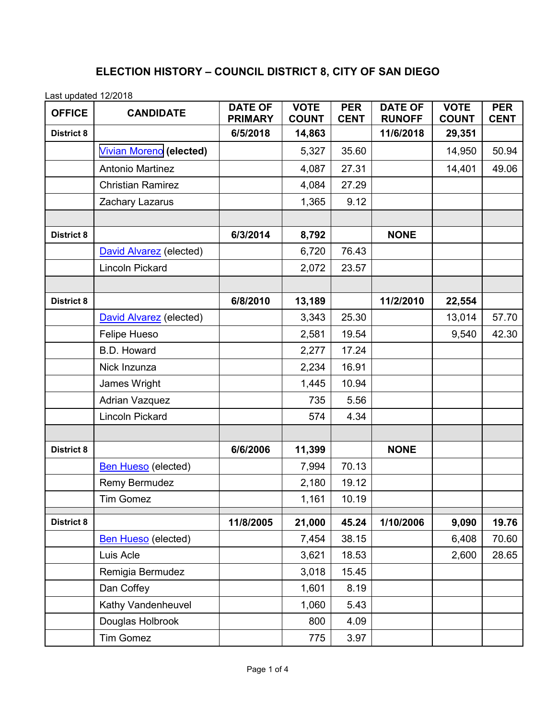## **ELECTION HISTORY – COUNCIL DISTRICT 8, CITY OF SAN DIEGO**

Last updated 12/2018

| <b>OFFICE</b>     | <b>CANDIDATE</b>               | <b>DATE OF</b><br><b>PRIMARY</b> | <b>VOTE</b><br><b>COUNT</b> | <b>PER</b><br><b>CENT</b> | <b>DATE OF</b><br><b>RUNOFF</b> | <b>VOTE</b><br><b>COUNT</b> | <b>PER</b><br><b>CENT</b> |
|-------------------|--------------------------------|----------------------------------|-----------------------------|---------------------------|---------------------------------|-----------------------------|---------------------------|
| <b>District 8</b> |                                | 6/5/2018                         | 14,863                      |                           | 11/6/2018                       | 29,351                      |                           |
|                   | <b>Vivian Moreno (elected)</b> |                                  | 5,327                       | 35.60                     |                                 | 14,950                      | 50.94                     |
|                   | <b>Antonio Martinez</b>        |                                  | 4,087                       | 27.31                     |                                 | 14,401                      | 49.06                     |
|                   | <b>Christian Ramirez</b>       |                                  | 4,084                       | 27.29                     |                                 |                             |                           |
|                   | Zachary Lazarus                |                                  | 1,365                       | 9.12                      |                                 |                             |                           |
|                   |                                |                                  |                             |                           |                                 |                             |                           |
| <b>District 8</b> |                                | 6/3/2014                         | 8,792                       |                           | <b>NONE</b>                     |                             |                           |
|                   | David Alvarez (elected)        |                                  | 6,720                       | 76.43                     |                                 |                             |                           |
|                   | Lincoln Pickard                |                                  | 2,072                       | 23.57                     |                                 |                             |                           |
|                   |                                |                                  |                             |                           |                                 |                             |                           |
| <b>District 8</b> |                                | 6/8/2010                         | 13,189                      |                           | 11/2/2010                       | 22,554                      |                           |
|                   | David Alvarez (elected)        |                                  | 3,343                       | 25.30                     |                                 | 13,014                      | 57.70                     |
|                   | Felipe Hueso                   |                                  | 2,581                       | 19.54                     |                                 | 9,540                       | 42.30                     |
|                   | <b>B.D. Howard</b>             |                                  | 2,277                       | 17.24                     |                                 |                             |                           |
|                   | Nick Inzunza                   |                                  | 2,234                       | 16.91                     |                                 |                             |                           |
|                   | James Wright                   |                                  | 1,445                       | 10.94                     |                                 |                             |                           |
|                   | <b>Adrian Vazquez</b>          |                                  | 735                         | 5.56                      |                                 |                             |                           |
|                   | <b>Lincoln Pickard</b>         |                                  | 574                         | 4.34                      |                                 |                             |                           |
|                   |                                |                                  |                             |                           |                                 |                             |                           |
| <b>District 8</b> |                                | 6/6/2006                         | 11,399                      |                           | <b>NONE</b>                     |                             |                           |
|                   | <b>Ben Hueso</b> (elected)     |                                  | 7,994                       | 70.13                     |                                 |                             |                           |
|                   | <b>Remy Bermudez</b>           |                                  | 2,180                       | 19.12                     |                                 |                             |                           |
|                   | <b>Tim Gomez</b>               |                                  | 1,161                       | 10.19                     |                                 |                             |                           |
| <b>District 8</b> |                                | 11/8/2005                        | 21,000                      | 45.24                     | 1/10/2006                       | 9,090                       | 19.76                     |
|                   | <b>Ben Hueso</b> (elected)     |                                  | 7,454                       | 38.15                     |                                 | 6,408                       | 70.60                     |
|                   | Luis Acle                      |                                  | 3,621                       | 18.53                     |                                 | 2,600                       | 28.65                     |
|                   | Remigia Bermudez               |                                  | 3,018                       | 15.45                     |                                 |                             |                           |
|                   | Dan Coffey                     |                                  | 1,601                       | 8.19                      |                                 |                             |                           |
|                   | Kathy Vandenheuvel             |                                  | 1,060                       | 5.43                      |                                 |                             |                           |
|                   | Douglas Holbrook               |                                  | 800                         | 4.09                      |                                 |                             |                           |
|                   | <b>Tim Gomez</b>               |                                  | 775                         | 3.97                      |                                 |                             |                           |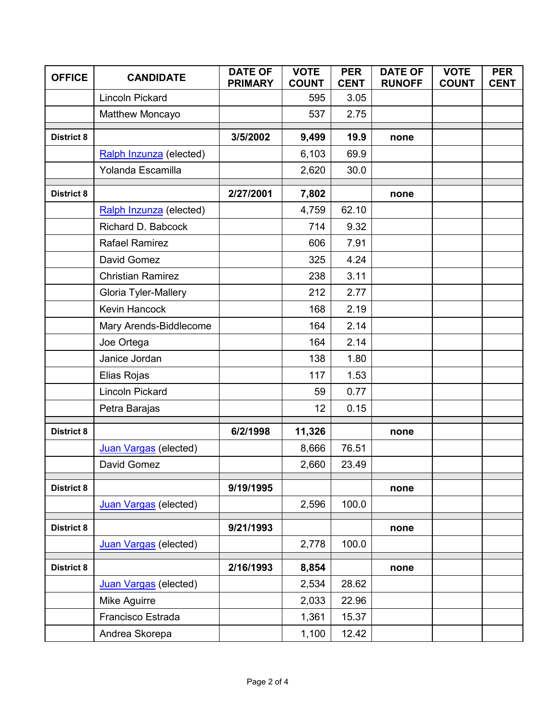| <b>OFFICE</b>     | <b>CANDIDATE</b>         | <b>DATE OF</b><br><b>PRIMARY</b> | <b>VOTE</b><br><b>COUNT</b> | <b>PER</b><br><b>CENT</b> | <b>DATE OF</b><br><b>RUNOFF</b> | <b>VOTE</b><br><b>COUNT</b> | <b>PER</b><br><b>CENT</b> |
|-------------------|--------------------------|----------------------------------|-----------------------------|---------------------------|---------------------------------|-----------------------------|---------------------------|
|                   | <b>Lincoln Pickard</b>   |                                  | 595                         | 3.05                      |                                 |                             |                           |
|                   | Matthew Moncayo          |                                  | 537                         | 2.75                      |                                 |                             |                           |
| <b>District 8</b> |                          | 3/5/2002                         | 9,499                       | 19.9                      | none                            |                             |                           |
|                   | Ralph Inzunza (elected)  |                                  | 6,103                       | 69.9                      |                                 |                             |                           |
|                   | Yolanda Escamilla        |                                  | 2,620                       | 30.0                      |                                 |                             |                           |
|                   |                          |                                  |                             |                           |                                 |                             |                           |
| <b>District 8</b> |                          | 2/27/2001                        | 7,802                       |                           | none                            |                             |                           |
|                   | Ralph Inzunza (elected)  |                                  | 4,759                       | 62.10                     |                                 |                             |                           |
|                   | Richard D. Babcock       |                                  | 714                         | 9.32                      |                                 |                             |                           |
|                   | <b>Rafael Ramirez</b>    |                                  | 606                         | 7.91                      |                                 |                             |                           |
|                   | David Gomez              |                                  | 325                         | 4.24                      |                                 |                             |                           |
|                   | <b>Christian Ramirez</b> |                                  | 238                         | 3.11                      |                                 |                             |                           |
|                   | Gloria Tyler-Mallery     |                                  | 212                         | 2.77                      |                                 |                             |                           |
|                   | <b>Kevin Hancock</b>     |                                  | 168                         | 2.19                      |                                 |                             |                           |
|                   | Mary Arends-Biddlecome   |                                  | 164                         | 2.14                      |                                 |                             |                           |
|                   | Joe Ortega               |                                  | 164                         | 2.14                      |                                 |                             |                           |
|                   | Janice Jordan            |                                  | 138                         | 1.80                      |                                 |                             |                           |
|                   | Elias Rojas              |                                  | 117                         | 1.53                      |                                 |                             |                           |
|                   | <b>Lincoln Pickard</b>   |                                  | 59                          | 0.77                      |                                 |                             |                           |
|                   | Petra Barajas            |                                  | 12                          | 0.15                      |                                 |                             |                           |
| <b>District 8</b> |                          | 6/2/1998                         | 11,326                      |                           | none                            |                             |                           |
|                   | Juan Vargas (elected)    |                                  | 8,666                       | 76.51                     |                                 |                             |                           |
|                   | David Gomez              |                                  | 2,660                       | 23.49                     |                                 |                             |                           |
| <b>District 8</b> |                          | 9/19/1995                        |                             |                           | none                            |                             |                           |
|                   | Juan Vargas (elected)    |                                  | 2,596                       | 100.0                     |                                 |                             |                           |
| <b>District 8</b> |                          | 9/21/1993                        |                             |                           | none                            |                             |                           |
|                   | Juan Vargas (elected)    |                                  | 2,778                       | 100.0                     |                                 |                             |                           |
| <b>District 8</b> |                          | 2/16/1993                        | 8,854                       |                           | none                            |                             |                           |
|                   | Juan Vargas (elected)    |                                  | 2,534                       | 28.62                     |                                 |                             |                           |
|                   | Mike Aguirre             |                                  | 2,033                       | 22.96                     |                                 |                             |                           |
|                   | Francisco Estrada        |                                  | 1,361                       | 15.37                     |                                 |                             |                           |
|                   | Andrea Skorepa           |                                  | 1,100                       | 12.42                     |                                 |                             |                           |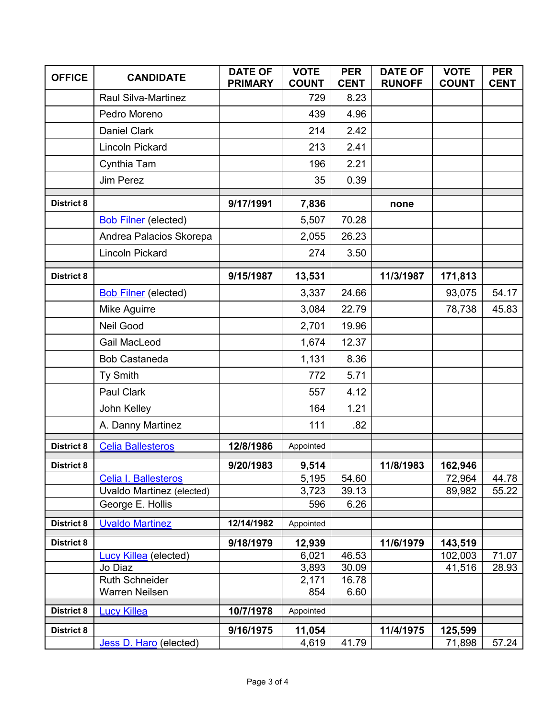| <b>OFFICE</b>     | <b>CANDIDATE</b>                              | <b>DATE OF</b><br><b>PRIMARY</b> | <b>VOTE</b><br><b>COUNT</b> | <b>PER</b><br><b>CENT</b> | <b>DATE OF</b><br><b>RUNOFF</b> | <b>VOTE</b><br><b>COUNT</b> | <b>PER</b><br><b>CENT</b> |
|-------------------|-----------------------------------------------|----------------------------------|-----------------------------|---------------------------|---------------------------------|-----------------------------|---------------------------|
|                   | <b>Raul Silva-Martinez</b>                    |                                  | 729                         | 8.23                      |                                 |                             |                           |
|                   | Pedro Moreno                                  |                                  | 439                         | 4.96                      |                                 |                             |                           |
|                   | <b>Daniel Clark</b>                           |                                  | 214                         | 2.42                      |                                 |                             |                           |
|                   | <b>Lincoln Pickard</b>                        |                                  | 213                         | 2.41                      |                                 |                             |                           |
|                   | Cynthia Tam                                   |                                  | 196                         | 2.21                      |                                 |                             |                           |
|                   | <b>Jim Perez</b>                              |                                  | 35                          | 0.39                      |                                 |                             |                           |
| <b>District 8</b> |                                               | 9/17/1991                        | 7,836                       |                           | none                            |                             |                           |
|                   | <b>Bob Filner</b> (elected)                   |                                  | 5,507                       | 70.28                     |                                 |                             |                           |
|                   | Andrea Palacios Skorepa                       |                                  | 2,055                       | 26.23                     |                                 |                             |                           |
|                   | <b>Lincoln Pickard</b>                        |                                  | 274                         | 3.50                      |                                 |                             |                           |
| <b>District 8</b> |                                               | 9/15/1987                        | 13,531                      |                           | 11/3/1987                       | 171,813                     |                           |
|                   | <b>Bob Filner</b> (elected)                   |                                  | 3,337                       | 24.66                     |                                 | 93,075                      | 54.17                     |
|                   | Mike Aguirre                                  |                                  | 3,084                       | 22.79                     |                                 | 78,738                      | 45.83                     |
|                   | Neil Good                                     |                                  | 2,701                       | 19.96                     |                                 |                             |                           |
|                   | <b>Gail MacLeod</b>                           |                                  | 1,674                       | 12.37                     |                                 |                             |                           |
|                   | <b>Bob Castaneda</b>                          |                                  | 1,131                       | 8.36                      |                                 |                             |                           |
|                   | Ty Smith                                      |                                  | 772                         | 5.71                      |                                 |                             |                           |
|                   | Paul Clark                                    |                                  | 557                         | 4.12                      |                                 |                             |                           |
|                   | John Kelley                                   |                                  | 164                         | 1.21                      |                                 |                             |                           |
|                   | A. Danny Martinez                             |                                  | 111                         | .82                       |                                 |                             |                           |
| <b>District 8</b> | <b>Celia Ballesteros</b>                      | 12/8/1986                        | Appointed                   |                           |                                 |                             |                           |
| <b>District 8</b> |                                               | 9/20/1983                        | 9,514                       |                           | 11/8/1983                       | 162,946                     |                           |
|                   | Celia I. Ballesteros                          |                                  | 5,195                       | 54.60                     |                                 | 72,964                      | 44.78                     |
|                   | Uvaldo Martinez (elected)<br>George E. Hollis |                                  | 3,723<br>596                | 39.13<br>6.26             |                                 | 89,982                      | 55.22                     |
|                   |                                               |                                  |                             |                           |                                 |                             |                           |
| <b>District 8</b> | <b>Uvaldo Martinez</b>                        | 12/14/1982                       | Appointed                   |                           |                                 |                             |                           |
| <b>District 8</b> |                                               | 9/18/1979                        | 12,939                      |                           | 11/6/1979                       | 143,519                     |                           |
|                   | Lucy Killea (elected)<br>Jo Diaz              |                                  | 6,021<br>3,893              | 46.53<br>30.09            |                                 | 102,003<br>41,516           | 71.07<br>28.93            |
|                   | <b>Ruth Schneider</b>                         |                                  | 2,171                       | 16.78                     |                                 |                             |                           |
|                   | Warren Neilsen                                |                                  | 854                         | 6.60                      |                                 |                             |                           |
| <b>District 8</b> | <b>Lucy Killea</b>                            | 10/7/1978                        | Appointed                   |                           |                                 |                             |                           |
| <b>District 8</b> |                                               | 9/16/1975                        | 11,054                      |                           | 11/4/1975                       | 125,599                     |                           |
|                   | Jess D. Haro (elected)                        |                                  | 4,619                       | 41.79                     |                                 | 71,898                      | 57.24                     |